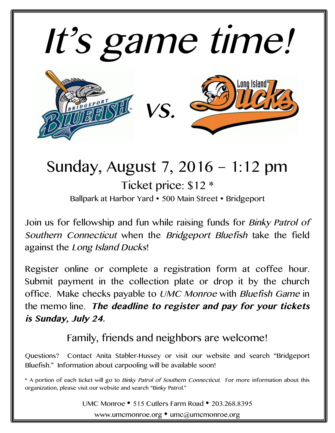

## Sunday, August 7, 2016 – 1:12 pm Ticket price: \$12 \* Ballpark at Harbor Yard • 500 Main Street • Bridgeport

Join us for fellowship and fun while raising funds for Binky Patrol of Southern Connecticut when the Bridgeport Bluefish take the field against the Long Island Ducks!

Register online or complete a registration form at coffee hour. Submit payment in the collection plate or drop it by the church office. Make checks payable to UMC Monroe with Bluefish Game in the memo line. **The deadline to register and pay for your tickets is Sunday, July 24.**

Family, friends and neighbors are welcome!

Questions? Contact Anita Stabler-Hussey or visit our website and search "Bridgeport Bluefish." Information about carpooling will be available soon!

\* A portion of each ticket will go to Binky Patrol of Southern Connecticut. For more information about this organization, please visit our website and search "Binky Patrol."

UMC Monroe • 515 Cutlers Farm Road • 203.268.8395

www.umcmonroe.org • umc@umcmonroe.org